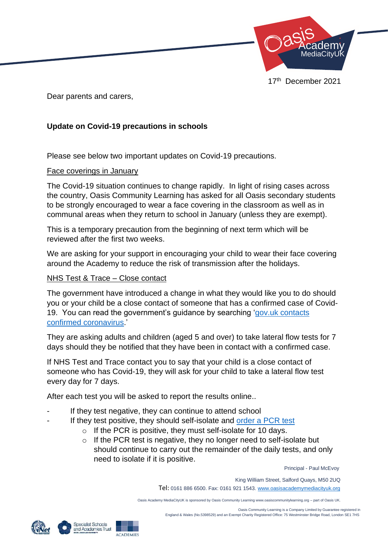

Dear parents and carers,

## **Update on Covid-19 precautions in schools**

Please see below two important updates on Covid-19 precautions.

## Face coverings in January

The Covid-19 situation continues to change rapidly. In light of rising cases across the country, Oasis Community Learning has asked for all Oasis secondary students to be strongly encouraged to wear a face covering in the classroom as well as in communal areas when they return to school in January (unless they are exempt).

This is a temporary precaution from the beginning of next term which will be reviewed after the first two weeks.

We are asking for your support in encouraging your child to wear their face covering around the Academy to reduce the risk of transmission after the holidays.

## NHS Test & Trace – Close contact

The government have introduced a change in what they would like you to do should you or your child be a close contact of someone that has a confirmed case of Covid-19. You can read the government's guidance by searching ['gov.uk contacts](https://www.gov.uk/government/publications/guidance-for-contacts-of-people-with-possible-or-confirmed-coronavirus-covid-19-infection-who-do-not-live-with-the-person/guidance-for-contacts-of-people-with-possible-or-confirmed-coronavirus-covid-19-infection-who-do-not-live-with-the-person)  [confirmed coronavirus.](https://www.gov.uk/government/publications/guidance-for-contacts-of-people-with-possible-or-confirmed-coronavirus-covid-19-infection-who-do-not-live-with-the-person/guidance-for-contacts-of-people-with-possible-or-confirmed-coronavirus-covid-19-infection-who-do-not-live-with-the-person)'

They are asking adults and children (aged 5 and over) to take lateral flow tests for 7 days should they be notified that they have been in contact with a confirmed case.

If NHS Test and Trace contact you to say that your child is a close contact of someone who has Covid-19, they will ask for your child to take a lateral flow test every day for 7 days.

After each test you will be asked to report the results online..

- If they test negative, they can continue to attend school
	- If they test positive, they should self-isolate and [order a PCR test](https://www.gov.uk/get-coronavirus-test)
		- o If the PCR is positive, they must self-isolate for 10 days.
		- $\circ$  If the PCR test is negative, they no longer need to self-isolate but should continue to carry out the remainder of the daily tests, and only need to isolate if it is positive.

Principal - Paul McEvoy

King William Street, Salford Quays, M50 2UQ

Tel: 0161 886 6500. Fax: 0161 921 1543[. www.oasisacademymediacityuk.org](http://www.oasisacademymediacityuk.org/)

Oasis Academy MediaCityUK is sponsored by Oasis Community Learning www.oasiscommunitylearning.org – part of Oasis UK.

 Oasis Community Learning is a Company Limited by Guarantee registered in England & Wales (No.5398529) and an Exempt Charity Registered Office: 75 Westminster Bridge Road, London SE1 7HS